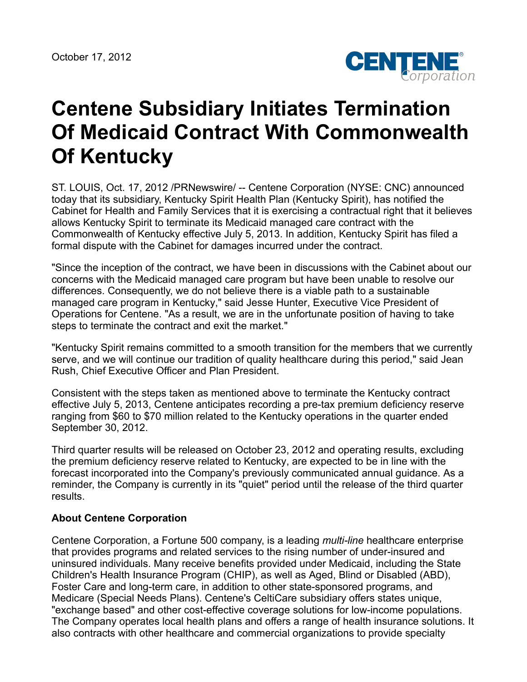

## **Centene Subsidiary Initiates Termination Of Medicaid Contract With Commonwealth Of Kentucky**

ST. LOUIS, Oct. 17, 2012 /PRNewswire/ -- Centene Corporation (NYSE: CNC) announced today that its subsidiary, Kentucky Spirit Health Plan (Kentucky Spirit), has notified the Cabinet for Health and Family Services that it is exercising a contractual right that it believes allows Kentucky Spirit to terminate its Medicaid managed care contract with the Commonwealth of Kentucky effective July 5, 2013. In addition, Kentucky Spirit has filed a formal dispute with the Cabinet for damages incurred under the contract.

"Since the inception of the contract, we have been in discussions with the Cabinet about our concerns with the Medicaid managed care program but have been unable to resolve our differences. Consequently, we do not believe there is a viable path to a sustainable managed care program in Kentucky," said Jesse Hunter, Executive Vice President of Operations for Centene. "As a result, we are in the unfortunate position of having to take steps to terminate the contract and exit the market."

"Kentucky Spirit remains committed to a smooth transition for the members that we currently serve, and we will continue our tradition of quality healthcare during this period," said Jean Rush, Chief Executive Officer and Plan President.

Consistent with the steps taken as mentioned above to terminate the Kentucky contract effective July 5, 2013, Centene anticipates recording a pre-tax premium deficiency reserve ranging from \$60 to \$70 million related to the Kentucky operations in the quarter ended September 30, 2012.

Third quarter results will be released on October 23, 2012 and operating results, excluding the premium deficiency reserve related to Kentucky, are expected to be in line with the forecast incorporated into the Company's previously communicated annual guidance. As a reminder, the Company is currently in its "quiet" period until the release of the third quarter results.

## **About Centene Corporation**

Centene Corporation, a Fortune 500 company, is a leading *multi-line* healthcare enterprise that provides programs and related services to the rising number of under-insured and uninsured individuals. Many receive benefits provided under Medicaid, including the State Children's Health Insurance Program (CHIP), as well as Aged, Blind or Disabled (ABD), Foster Care and long-term care, in addition to other state-sponsored programs, and Medicare (Special Needs Plans). Centene's CeltiCare subsidiary offers states unique, "exchange based" and other cost-effective coverage solutions for low-income populations. The Company operates local health plans and offers a range of health insurance solutions. It also contracts with other healthcare and commercial organizations to provide specialty